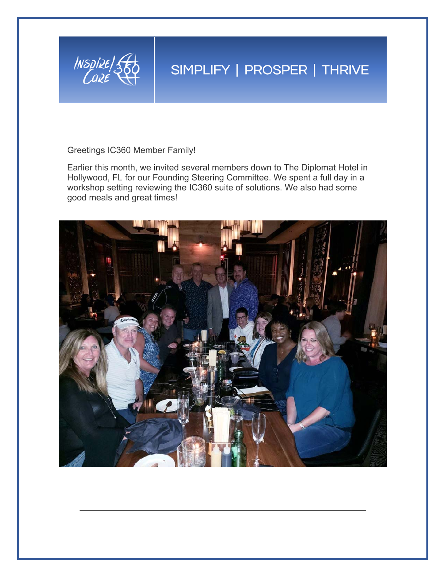

## SIMPLIFY | PROSPER | THRIVE

Greetings IC360 Member Family!

Earlier this month, we invited several members down to The Diplomat Hotel in Hollywood, FL for our Founding Steering Committee. We spent a full day in a workshop setting reviewing the IC360 suite of solutions. We also had some good meals and great times!